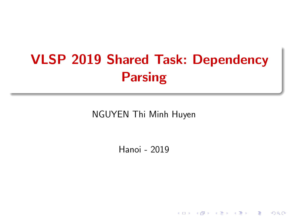# <span id="page-0-0"></span>VLSP 2019 Shared Task: Dependency Parsing

NGUYEN Thi Minh Huyen

Hanoi - 2019

**K ロ ト K 御 ト K 差 ト K 差 ト** 

 $2Q$ 

造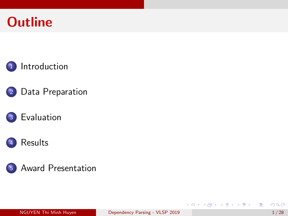











э

イロト イ押ト イヨト イヨト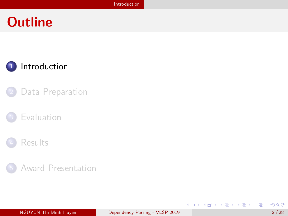## <span id="page-2-0"></span>**Outline**



- [Data Preparation](#page-6-0)
- **[Evaluation](#page-15-0)**





目

イロト イ部 トイヨ トイヨト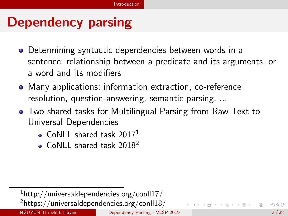# Dependency parsing

- Determining syntactic dependencies between words in a sentence: relationship between a predicate and its arguments, or a word and its modifiers
- Many applications: information extraction, co-reference resolution, question-answering, semantic parsing, ...
- Two shared tasks for Multilingual Parsing from Raw Text to Universal Dependencies
	- CoNLL shared task  $2017<sup>1</sup>$
	- CoNLL shared task 2018<sup>2</sup>

 $1$ http://universaldependencies.org/conll17/ <sup>2</sup>https://universaldependencies.org/conll18/ NGUYEN Thi Minh Huyen [Dependency Parsing - VLSP 2019](#page-0-0) 3/28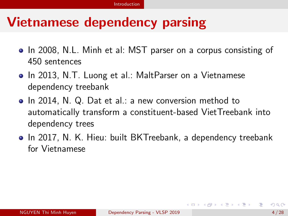# Vietnamese dependency parsing

- In 2008, N.L. Minh et al: MST parser on a corpus consisting of 450 sentences
- In 2013, N.T. Luong et al.: MaltParser on a Vietnamese dependency treebank
- In 2014, N. Q. Dat et al.: a new conversion method to automatically transform a constituent-based VietTreebank into dependency trees
- In 2017, N. K. Hieu: built BKTreebank, a dependency treebank for Vietnamese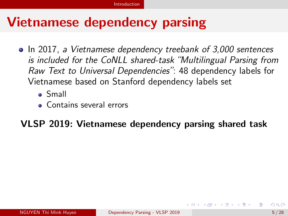# Vietnamese dependency parsing

- In 2017, a Vietnamese dependency treebank of 3,000 sentences is included for the CoNLL shared-task "Multilingual Parsing from Raw Text to Universal Dependencies": 48 dependency labels for Vietnamese based on Stanford dependency labels set
	- Small
	- **Contains several errors**

### VLSP 2019: Vietnamese dependency parsing shared task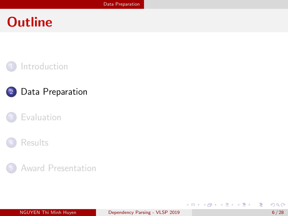## <span id="page-6-0"></span>**Outline**



### <sup>2</sup> [Data Preparation](#page-6-0)

### **[Evaluation](#page-15-0)**



#### <sup>5</sup> [Award Presentation](#page-27-0)

э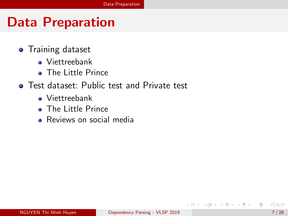- **•** Training dataset
	- Viettreebank
	- The Little Prince
- **•** Test dataset: Public test and Private test
	- Viettreebank
	- The Little Prince
	- Reviews on social media

э

ヨメ メヨメ

4 D F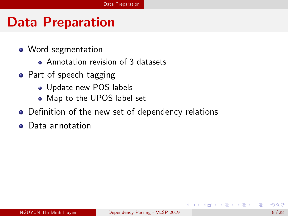- Word segmentation
	- Annotation revision of 3 datasets
- Part of speech tagging
	- Update new POS labels
	- Map to the UPOS label set
- Definition of the new set of dependency relations
- **•** Data annotation

化重新润滑脂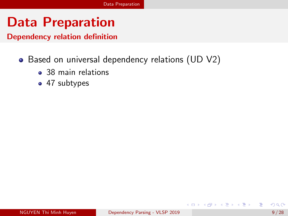Dependency relation definition

- Based on universal dependency relations (UD V2)
	- 38 main relations
	- 47 subtypes

 $\mathcal{A} \oplus \mathcal{B}$  ,  $\mathcal{A} \oplus \mathcal{B}$  ,  $\mathcal{A} \oplus \mathcal{B}$ 

4 D F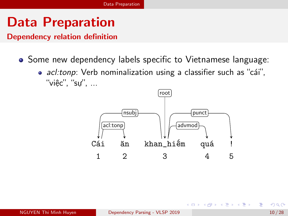Dependency relation definition

- Some new dependency labels specific to Vietnamese language:
	- acl:tonp: Verb nominalization using a classifier such as "cái", "việc", "sự", ...



医毛囊 医牙骨下的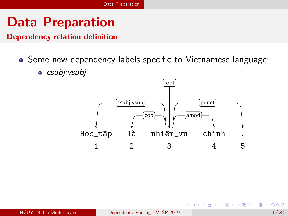Dependency relation definition

- Some new dependency labels specific to Vietnamese language:
	- $\bullet$  csubj: $v$ subj



э

 $\left\{ \left. \left( \left. \left| \Phi \right| \right. \right) \left. \left. \left( \left. \left| \Phi \right| \right. \right) \right| \right. \left. \left. \left( \left. \left| \Phi \right| \right) \right| \right. \right. \left. \left( \left. \left| \Phi \right| \right) \right| \right. \right. \left. \left( \left. \left| \Phi \right| \right) \right| \right. \right. \left. \left( \left. \left| \Phi \right| \right) \right| \right. \left. \left( \left. \left| \Phi \right| \right) \right| \right)$ 

4 D F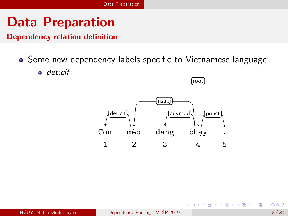Dependency relation definition

- Some new dependency labels specific to Vietnamese language:
	- $\bullet$  det:clf:



4 同 ト

4 D F

- 4 国家 4 国家

э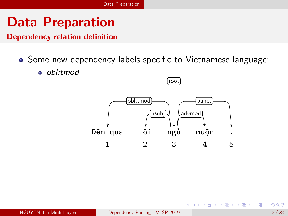Dependency relation definition

- Some new dependency labels specific to Vietnamese language:
	- obl:tmod



э

 $\mathcal{A} \ \equiv \ \mathcal{B} \ \ \mathcal{A} \ \equiv \ \mathcal{B}$ 

4 D F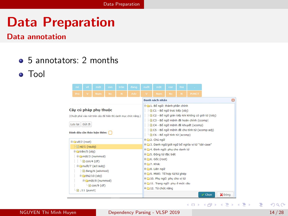#### Data annotation

- 5 annotators: 2 months
- Tool



э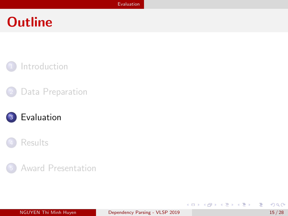## <span id="page-15-0"></span>**Outline**



### [Data Preparation](#page-6-0)





#### <sup>5</sup> [Award Presentation](#page-27-0)

造

イロト イ部 トイヨ トイヨト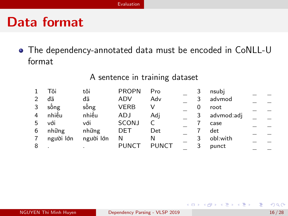## Data format

The dependency-annotated data must be encoded in CoNLL-U format

A sentence in training dataset

|               | Tôi       | tôi       | <b>PROPN</b> | Pro          |   | nsubi      |  |
|---------------|-----------|-----------|--------------|--------------|---|------------|--|
| $\mathcal{P}$ | đã        | đã        | ADV          | Adv          |   | advmod     |  |
| 3             | sống      | sống      | <b>VERB</b>  |              |   | root       |  |
| 4             | nhiều     | nhiều     | ADJ          | Adj          |   | advmod:adj |  |
| 5             | với       | với       | SCONJ        |              |   | case       |  |
| 6             | những     | những     | DET          | Det          |   | det        |  |
| 7             | người lớn | người lớn | N            | N            | 3 | obl:with   |  |
| 8             |           |           | <b>PUNCT</b> | <b>PUNCT</b> |   | punct      |  |

4 0 8

 $\mathcal{A} \oplus \mathcal{B}$  ,  $\mathcal{A} \oplus \mathcal{B}$  ,  $\mathcal{A} \oplus \mathcal{B}$  ,  $\mathcal{B}$ 

э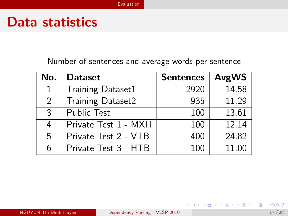### Data statistics

Number of sentences and average words per sentence

| No.           | <b>Dataset</b>       | <b>Sentences</b> | AvgWS |
|---------------|----------------------|------------------|-------|
| 1             | Training Dataset1    | 2920             | 14.58 |
| $\mathcal{P}$ | Training Dataset2    | 935              | 11.29 |
| 3             | Public Test          | 100              | 13.61 |
| 4             | Private Test 1 - MXH | 100              | 12.14 |
| 5.            | Private Test 2 - VTB | 400              | 24.82 |
| 6             | Private Test 3 - HTB | 100              | 11.00 |

目

イロト イ母 トイヨ トイヨ トー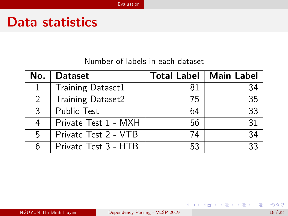### Data statistics

#### Number of labels in each dataset

| No.           | <b>Dataset</b>           |    | Total Label   Main Label |
|---------------|--------------------------|----|--------------------------|
|               | <b>Training Dataset1</b> | 81 | 34                       |
| $\mathcal{P}$ | Training Dataset2        | 75 | 35                       |
| ર             | <b>Public Test</b>       | 64 | 33                       |
| 4             | Private Test 1 - MXH     | 56 | 31                       |
| 5             | Private Test 2 - VTB     | 74 | 34                       |
|               | Private Test 3 - HTB     | 53 | २२                       |

重

イロト イ部 トイモト イモト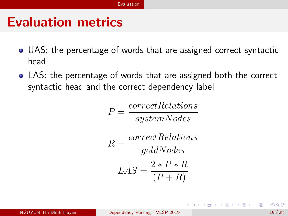## <span id="page-19-0"></span>Evaluation metrics

- UAS: the percentage of words that are assigned correct syntactic head
- LAS: the percentage of words that are assigned both the correct syntactic head and the correct dependency label

$$
P = \frac{correct\,relations}{systemNodes}
$$

$$
R = \frac{correctRelationships}{goldNodes}
$$

$$
LAS = \frac{2*P*R}{(P+R)}
$$

(ロトス何) (ミトスラ)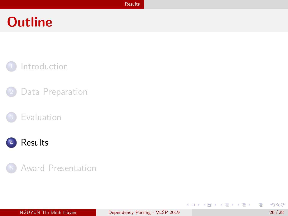## <span id="page-20-0"></span>**Outline**



- [Data Preparation](#page-6-0)
- **[Evaluation](#page-15-0)**



#### <sup>5</sup> [Award Presentation](#page-27-0)

造

イロト イ部 トイヨ トイヨト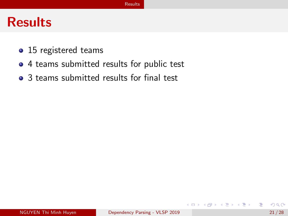- <span id="page-21-0"></span>• 15 registered teams
- 4 teams submitted results for public test
- 3 teams submitted results for final test

э

化重新润滑脂

4 D F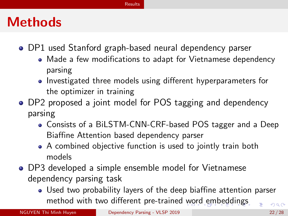### <span id="page-22-0"></span>**Methods**

- DP1 used Stanford graph-based neural dependency parser
	- Made a few modifications to adapt for Vietnamese dependency parsing
	- Investigated three models using different hyperparameters for the optimizer in training
- DP2 proposed a joint model for POS tagging and dependency parsing
	- Consists of a BiLSTM-CNN-CRF-based POS tagger and a Deep Biaffine Attention based dependency parser
	- A combined objective function is used to jointly train both models
- DP3 developed a simple ensemble model for Vietnamese dependency parsing task
	- Used two probability layers of the deep biaffine attention parser method with two different pre-trained [w](#page-21-0)[ord](#page-23-0)[em](#page-22-0)[b](#page-19-0)[e](#page-20-0)[d](#page-26-0)[di](#page-27-0)[n](#page-19-0)[g](#page-20-0)[s](#page-26-0)  $QQ$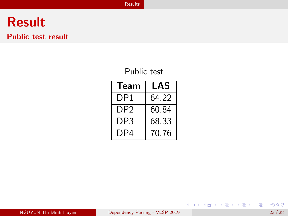#### <span id="page-23-0"></span>Public test result

#### Public test

| Team            | LAS   |
|-----------------|-------|
| DP1             | 64.22 |
| DP <sub>2</sub> | 60.84 |
| DP3             | 68.33 |
| DP4             | 70.76 |

重

イロメ イ母メ イヨメ イヨメー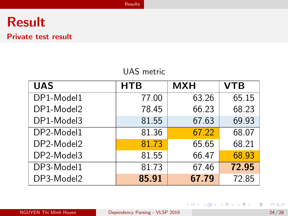#### Private test result

#### UAS metric

| <b>UAS</b> | <b>HTB</b> | <b>MXH</b> | <b>VTB</b> |
|------------|------------|------------|------------|
| DP1-Model1 | 77.00      | 63.26      | 65.15      |
| DP1-Model2 | 78.45      | 66.23      | 68.23      |
| DP1-Model3 | 81.55      | 67.63      | 69.93      |
| DP2-Model1 | 81.36      | 67.22      | 68.07      |
| DP2-Model2 | 81.73      | 65.65      | 68.21      |
| DP2-Model3 | 81.55      | 66.47      | 68.93      |
| DP3-Model1 | 81.73      | 67.46      | 72.95      |
| DP3-Model2 | 85.91      | 67.79      | 72.85      |

重

イロメ イ母メ イヨメ イヨメー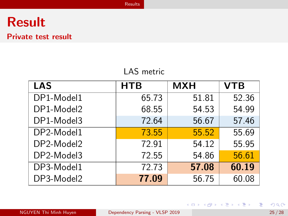#### Private test result

#### LAS metric

| <b>LAS</b> | <b>HTB</b> | <b>MXH</b> | <b>VTB</b> |
|------------|------------|------------|------------|
| DP1-Model1 | 65.73      | 51.81      | 52.36      |
| DP1-Model2 | 68.55      | 54.53      | 54.99      |
| DP1-Model3 | 72.64      | 56.67      | 57.46      |
| DP2-Model1 | 73.55      | 55.52      | 55.69      |
| DP2-Model2 | 72.91      | 54.12      | 55.95      |
| DP2-Model3 | 72.55      | 54.86      | 56.61      |
| DP3-Model1 | 72.73      | 57.08      | 60.19      |
| DP3-Model2 | 77.09      | 56.75      | 60.08      |

画

イロメ イ部メ イヨメ イヨメー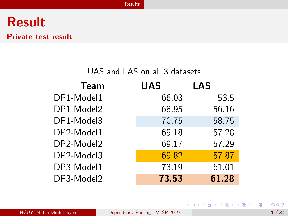#### <span id="page-26-0"></span>Private test result

#### UAS and LAS on all 3 datasets

| <b>Team</b> | <b>UAS</b> | <b>LAS</b> |
|-------------|------------|------------|
| DP1-Model1  | 66.03      | 53.5       |
| DP1-Model2  | 68.95      | 56.16      |
| DP1-Model3  | 70.75      | 58.75      |
| DP2-Model1  | 69.18      | 57.28      |
| DP2-Model2  | 69.17      | 57.29      |
| DP2-Model3  | 69.82      | 57.87      |
| DP3-Model1  | 73.19      | 61.01      |
| DP3-Model2  | 73.53      | 61.28      |

重

イロメ イ母メ イヨメ イヨメー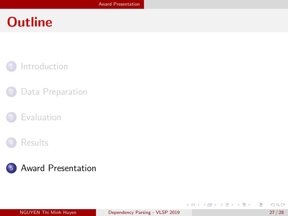## <span id="page-27-0"></span>**Outline**



- [Data Preparation](#page-6-0)
- **[Evaluation](#page-15-0)**





造

イロト イ部 トイヨ トイヨト